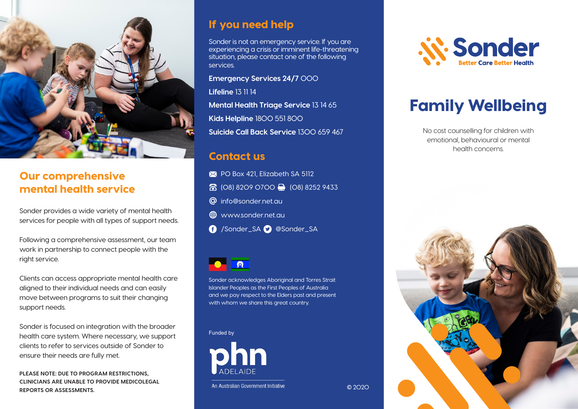

### Our comprehensive mental health service

Sonder provides a wide variety of mental health services for people with all types of support needs.

Following a comprehensive assessment, our team work in partnership to connect people with the right service.

Clients can access appropriate mental health care aligned to their individual needs and can easily move between programs to suit their changing support needs.

Sonder is focused on integration with the broader health care system. Where necessary, we support clients to refer to services outside of Sonder to ensure their needs are fully met.

**PLEASE NOTE: DUE TO PROGRAM RESTRICTIONS, CLINICIANS ARE UNABLE TO PROVIDE MEDICOLEGAL REPORTS OR ASSESSMENTS.**

### If you need help

Sonder is not an emergency service. If you are experiencing a crisis or imminent life-threatening situation, please contact one of the following services.

**Emergency Services 24/7** 000

**Lifeline** 13 11 14

**Mental Health Triage Service** 13 14 65 **Kids Helpline** 1800 551 800 **Suicide Call Back Service** 1300 659 467

### Contact us

- **EX** PO Box 421, Elizabeth SA 5112 8 (08) 8209 0700 (08) 8252 9433 **@** info@sonder.net.au
- **ED** www.sonder.net.au
- /Sonder\_SA @Sonder\_SA



Sonder acknowledges Aboriginal and Torres Strait Islander Peoples as the First Peoples of Australia and we pay respect to the Elders past and present with whom we share this great country.

Funded by



An Australian Government Initiative

**N. Sonder** 

# Family Wellbeing

No cost counselling for children with emotional, behavioural or mental health concerns.